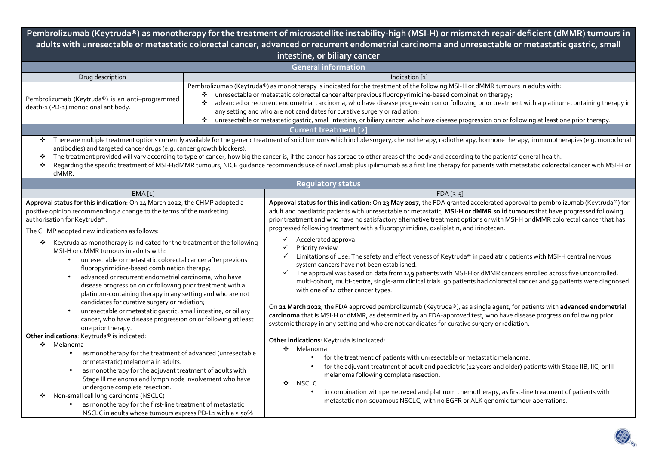**Pembrolizumab (Keytruda®) as monotherapy for the treatment of microsatellite instability-high (MSI**‑**H) or mismatch repair deficient (dMMR) tumours in adults with unresectable or metastatic colorectal cancer, advanced or recurrent endometrial carcinoma and unresectable or metastatic gastric, small intestine, or biliary cancer** 

| <b>General information</b>                                                                                                                                                                                                                                                                                                                                                                                                                                                                                                                                                                                                                                                                                                                                                                                                                                               |        |                                                                                                                                                                                                                                                                                                                                                                                                                                                                                                                                                                                                                                                                                                                                                                                                                                                                                                                                                                                                                                                                                                                                                                                                                                                                                                                                        |  |  |  |  |  |  |
|--------------------------------------------------------------------------------------------------------------------------------------------------------------------------------------------------------------------------------------------------------------------------------------------------------------------------------------------------------------------------------------------------------------------------------------------------------------------------------------------------------------------------------------------------------------------------------------------------------------------------------------------------------------------------------------------------------------------------------------------------------------------------------------------------------------------------------------------------------------------------|--------|----------------------------------------------------------------------------------------------------------------------------------------------------------------------------------------------------------------------------------------------------------------------------------------------------------------------------------------------------------------------------------------------------------------------------------------------------------------------------------------------------------------------------------------------------------------------------------------------------------------------------------------------------------------------------------------------------------------------------------------------------------------------------------------------------------------------------------------------------------------------------------------------------------------------------------------------------------------------------------------------------------------------------------------------------------------------------------------------------------------------------------------------------------------------------------------------------------------------------------------------------------------------------------------------------------------------------------------|--|--|--|--|--|--|
| Drug description                                                                                                                                                                                                                                                                                                                                                                                                                                                                                                                                                                                                                                                                                                                                                                                                                                                         |        | Indication [1]                                                                                                                                                                                                                                                                                                                                                                                                                                                                                                                                                                                                                                                                                                                                                                                                                                                                                                                                                                                                                                                                                                                                                                                                                                                                                                                         |  |  |  |  |  |  |
| Pembrolizumab (Keytruda®) is an anti-programmed<br>death-1 (PD-1) monoclonal antibody.                                                                                                                                                                                                                                                                                                                                                                                                                                                                                                                                                                                                                                                                                                                                                                                   | ❖<br>❖ | Pembrolizumab (Keytruda®) as monotherapy is indicated for the treatment of the following MSI-H or dMMR tumours in adults with:<br>* unresectable or metastatic colorectal cancer after previous fluoropyrimidine-based combination therapy;<br>advanced or recurrent endometrial carcinoma, who have disease progression on or following prior treatment with a platinum-containing therapy in<br>any setting and who are not candidates for curative surgery or radiation;<br>unresectable or metastatic gastric, small intestine, or biliary cancer, who have disease progression on or following at least one prior therapy.                                                                                                                                                                                                                                                                                                                                                                                                                                                                                                                                                                                                                                                                                                        |  |  |  |  |  |  |
| Current treatment [2]                                                                                                                                                                                                                                                                                                                                                                                                                                                                                                                                                                                                                                                                                                                                                                                                                                                    |        |                                                                                                                                                                                                                                                                                                                                                                                                                                                                                                                                                                                                                                                                                                                                                                                                                                                                                                                                                                                                                                                                                                                                                                                                                                                                                                                                        |  |  |  |  |  |  |
| * There are multiple treatment options currently available for the generic treatment of solid tumours which include surgery, chemotherapy, radiotherapy, hormone therapy, immunotherapies (e.g. monoclonal<br>antibodies) and targeted cancer drugs (e.g. cancer growth blockers).<br>The treatment provided will vary according to type of cancer, how big the cancer is, if the cancer has spread to other areas of the body and according to the patients' general health.<br>❖<br>Regarding the specific treatment of MSI-H/dMMR tumours, NICE quidance recommends use of nivolumab plus ipilimumab as a first line therapy for patients with metastatic colorectal cancer with MSI-H or<br>❖<br>dMMR.                                                                                                                                                               |        |                                                                                                                                                                                                                                                                                                                                                                                                                                                                                                                                                                                                                                                                                                                                                                                                                                                                                                                                                                                                                                                                                                                                                                                                                                                                                                                                        |  |  |  |  |  |  |
|                                                                                                                                                                                                                                                                                                                                                                                                                                                                                                                                                                                                                                                                                                                                                                                                                                                                          |        | <b>Regulatory status</b>                                                                                                                                                                                                                                                                                                                                                                                                                                                                                                                                                                                                                                                                                                                                                                                                                                                                                                                                                                                                                                                                                                                                                                                                                                                                                                               |  |  |  |  |  |  |
| EMA[1]                                                                                                                                                                                                                                                                                                                                                                                                                                                                                                                                                                                                                                                                                                                                                                                                                                                                   |        | $FDA [3-5]$                                                                                                                                                                                                                                                                                                                                                                                                                                                                                                                                                                                                                                                                                                                                                                                                                                                                                                                                                                                                                                                                                                                                                                                                                                                                                                                            |  |  |  |  |  |  |
| Approval status for this indication: On 24 March 2022, the CHMP adopted a<br>positive opinion recommending a change to the terms of the marketing<br>authorisation for Keytruda®.<br>The CHMP adopted new indications as follows:<br>Keytruda as monotherapy is indicated for the treatment of the following<br>❖<br>MSI-H or dMMR tumours in adults with:<br>unresectable or metastatic colorectal cancer after previous<br>fluoropyrimidine-based combination therapy;<br>advanced or recurrent endometrial carcinoma, who have<br>disease progression on or following prior treatment with a<br>platinum-containing therapy in any setting and who are not<br>candidates for curative surgery or radiation;<br>unresectable or metastatic gastric, small intestine, or biliary<br>cancer, who have disease progression on or following at least<br>one prior therapy. |        | Approval status for this indication: On 23 May 2017, the FDA granted accelerated approval to pembrolizumab (Keytruda®) for<br>adult and paediatric patients with unresectable or metastatic, MSI-H or dMMR solid tumours that have progressed following<br>prior treatment and who have no satisfactory alternative treatment options or with MSI-H or dMMR colorectal cancer that has<br>progressed following treatment with a fluoropyrimidine, oxaliplatin, and irinotecan.<br>Accelerated approval<br>Priority review<br>Limitations of Use: The safety and effectiveness of Keytruda® in paediatric patients with MSI-H central nervous<br>system cancers have not been established.<br>The approval was based on data from 149 patients with MSI-H or dMMR cancers enrolled across five uncontrolled,<br>✓<br>multi-cohort, multi-centre, single-arm clinical trials. 90 patients had colorectal cancer and 59 patients were diagnosed<br>with one of 14 other cancer types.<br>On 21 March 2022, the FDA approved pembrolizumab (Keytruda®), as a single agent, for patients with advanced endometrial<br>carcinoma that is MSI-H or dMMR, as determined by an FDA-approved test, who have disease progression following prior<br>systemic therapy in any setting and who are not candidates for curative surgery or radiation. |  |  |  |  |  |  |
| Other indications: Keytruda® is indicated:<br>❖ Melanoma<br>as monotherapy for the treatment of advanced (unresectable<br>$\bullet$<br>or metastatic) melanoma in adults.<br>as monotherapy for the adjuvant treatment of adults with<br>Stage III melanoma and lymph node involvement who have<br>undergone complete resection.<br>Non-small cell lung carcinoma (NSCLC)<br>❖<br>as monotherapy for the first-line treatment of metastatic<br>NSCLC in adults whose tumours express PD-L1 with a ≥ 50%                                                                                                                                                                                                                                                                                                                                                                  |        | Other indications: Keytruda is indicated:<br>❖ Melanoma<br>for the treatment of patients with unresectable or metastatic melanoma.<br>$\bullet$<br>for the adjuvant treatment of adult and paediatric (12 years and older) patients with Stage IIB, IIC, or III<br>melanoma following complete resection.<br>❖<br><b>NSCLC</b><br>in combination with pemetrexed and platinum chemotherapy, as first-line treatment of patients with<br>metastatic non-squamous NSCLC, with no EGFR or ALK genomic tumour aberrations.                                                                                                                                                                                                                                                                                                                                                                                                                                                                                                                                                                                                                                                                                                                                                                                                                 |  |  |  |  |  |  |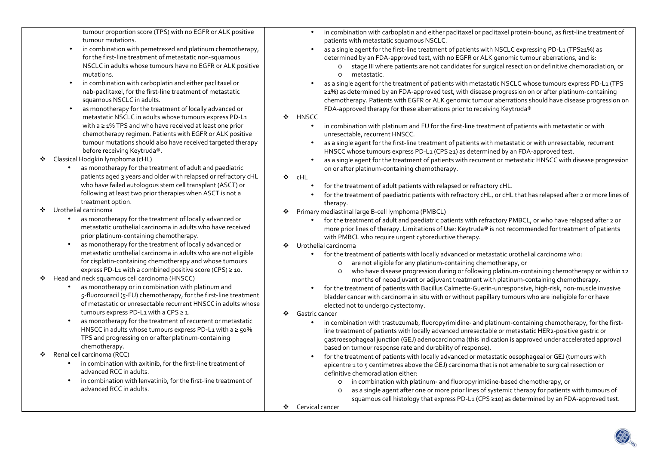tumour proportion score (TPS) with no EGFR or ALK positive tumour mutations.

- • in combination with pemetrexed and platinum chemotherapy, for the first-line treatment of metastatic non-squamous NSCLC in adults whose tumours have no EGFR or ALK positive mutations.
- • in combination with carboplatin and either paclitaxel or nab‑paclitaxel, for the first‑line treatment of metastatic squamous NSCLC in adults.
- • as monotherapy for the treatment of locally advanced or metastatic NSCLC in adults whose tumours express PD‑L1 with a ≥ 1% TPS and who have received at least one prior chemotherapy regimen. Patients with EGFR or ALK positive tumour mutations should also have received targeted therapy before receiving Keytruda®.
- $\bullet$  Classical Hodgkin lymphoma (cHL)
	- • as monotherapy for the treatment of adult and paediatric patients aged 3 years and older with relapsed or refractory cHL who have failed autologous stem cell transplant (ASCT) or following at least two prior therapies when ASCT is not a treatment option.
- ❖ Urothelial carcinoma
	- • as monotherapy for the treatment of locally advanced or metastatic urothelial carcinoma in adults who have received prior platinum‑containing chemotherapy.
	- • as monotherapy for the treatment of locally advanced or metastatic urothelial carcinoma in adults who are not eligible for cisplatin‑containing chemotherapy and whose tumours express PD-L1 with a combined positive score (CPS)  $\geq$  10.
- $\bullet$  Head and neck squamous cell carcinoma (HNSCC)
	- • as monotherapy or in combination with platinum and 5‑fluorouracil (5‑FU) chemotherapy, for the first‑line treatment of metastatic or unresectable recurrent HNSCC in adults whose tumours express PD-L1 with a CPS  $\geq$  1.
	- • as monotherapy for the treatment of recurrent or metastatic HNSCC in adults whose tumours express PD-L1 with a  $\geq$  50% TPS and progressing on or after platinum‑containing chemotherapy.
- ❖ Renal cell carcinoma (RCC)
	- •in combination with axitinib, for the first-line treatment of advanced RCC in adults.
	- in combination with lenvatinib, for the first-line treatment of advanced RCC in adults.
- • in combination with carboplatin and either paclitaxel or paclitaxel protein-bound, as first-line treatment of patients with metastatic squamous NSCLC.
- • as a single agent for the first-line treatment of patients with NSCLC expressing PD-L1 (TPS≥1%) as determined by an FDA-approved test, with no EGFR or ALK genomic tumour aberrations, and is:
	- o stage III where patients are not candidates for surgical resection or definitive chemoradiation, or ometastatic.
- • as a single agent for the treatment of patients with metastatic NSCLC whose tumours express PD-L1 (TPS≥1%) as determined by an FDA-approved test, with disease progression on or after platinum-containing chemotherapy. Patients with EGFR or ALK genomic tumour aberrations should have disease progression on FDA-approved therapy for these aberrations prior to receiving Keytruda®
- ❖ HNSCC
	- • in combination with platinum and FU for the first-line treatment of patients with metastatic or with unresectable, recurrent HNSCC.
	- • as a single agent for the first-line treatment of patients with metastatic or with unresectable, recurrent HNSCC whose tumours express PD-L1 (CPS ≥1) as determined by an FDA-approved test.
	- • as a single agent for the treatment of patients with recurrent or metastatic HNSCC with disease progression on or after platinum-containing chemotherapy.
- ❖ cHL
	- •for the treatment of adult patients with relapsed or refractory cHL.
	- • for the treatment of paediatric patients with refractory cHL, or cHL that has relapsed after 2 or more lines of therapy.
- ◆ Primary mediastinal large B-cell lymphoma (PMBCL)<br>contract the tractment of a dult and needistrians
	- • for the treatment of adult and paediatric patients with refractory PMBCL, or who have relapsed after 2 or more prior lines of therapy. Limitations of Use: Keytruda® is not recommended for treatment of patients with PMBCL who require urgent cytoreductive therapy.
- ◆ Urothelial carcinoma
	- • for the treatment of patients with locally advanced or metastatic urothelial carcinoma who:
		- oare not eligible for any platinum-containing chemotherapy, or
		- o who have disease progression during or following platinum-containing chemotherapy or within 12 months of neoadjuvant or adjuvant treatment with platinum-containing chemotherapy.
	- $\bullet$  for the treatment of patients with Bacillus Calmette-Guerin-unresponsive, high-risk, non-muscle invasive bladder cancer with carcinoma in situ with or without papillary tumours who are ineligible for or haveelected not to undergo cystectomy.
- Gastric cancer<br>Cancer
	- $\bullet$  in combination with trastuzumab, fluoropyrimidine- and platinum-containing chemotherapy, for the firstline treatment of patients with locally advanced unresectable or metastatic HER2-positive gastric or gastroesophageal junction (GEJ) adenocarcinoma (this indication is approved under accelerated approval based on tumour response rate and durability of response).
	- • for the treatment of patients with locally advanced or metastatic oesophageal or GEJ (tumours with epicentre 1 to 5 centimetres above the GEJ) carcinoma that is not amenable to surgical resection or definitive chemoradiation either:
		- oin combination with platinum- and fluoropyrimidine-based chemotherapy, or
		- o as a single agent after one or more prior lines of systemic therapy for patients with tumours of squamous cell histology that express PD-L1 (CPS ≥10) as determined by an FDA-approved test.
- ❖ Cervical cancer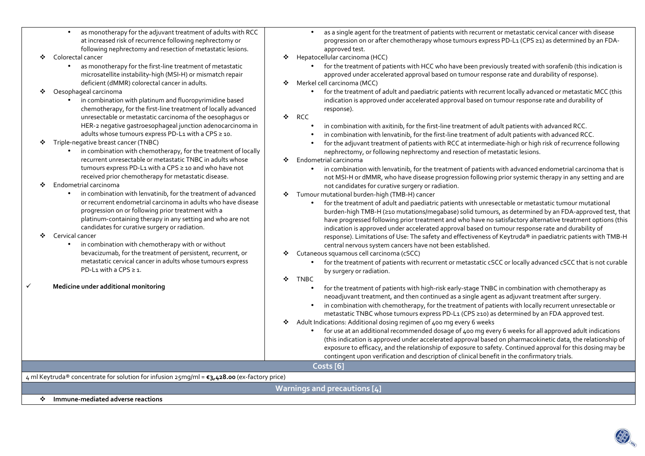| as monotherapy for the adjuvant treatment of adults with RCC<br>at increased risk of recurrence following nephrectomy or<br>following nephrectomy and resection of metastatic lesions.<br>Colorectal cancer<br>❖<br>as monotherapy for the first-line treatment of metastatic<br>microsatellite instability-high (MSI-H) or mismatch repair<br>deficient (dMMR) colorectal cancer in adults.<br>Oesophageal carcinoma<br>❖<br>in combination with platinum and fluoropyrimidine based<br>$\bullet$<br>chemotherapy, for the first-line treatment of locally advanced<br>unresectable or metastatic carcinoma of the oesophagus or<br>HER-2 negative gastroesophageal junction adenocarcinoma in<br>adults whose tumours express PD-L1 with a CPS ≥ 10.<br>Triple-negative breast cancer (TNBC)<br>❖<br>in combination with chemotherapy, for the treatment of locally<br>recurrent unresectable or metastatic TNBC in adults whose<br>tumours express PD-L1 with a CPS ≥ 10 and who have not<br>received prior chemotherapy for metastatic disease.<br>Endometrial carcinoma<br>❖<br>in combination with lenvatinib, for the treatment of advanced<br>$\bullet$<br>or recurrent endometrial carcinoma in adults who have disease<br>progression on or following prior treatment with a<br>platinum-containing therapy in any setting and who are not<br>candidates for curative surgery or radiation.<br>Cervical cancer<br>❖<br>in combination with chemotherapy with or without<br>$\bullet$<br>bevacizumab, for the treatment of persistent, recurrent, or<br>metastatic cervical cancer in adults whose tumours express<br>PD-L1 with a CPS $\geq$ 1.<br>✓<br>Medicine under additional monitoring | as a single agent for the treatment of patients with recurrent or metastatic cervical cancer with disease<br>progression on or after chemotherapy whose tumours express PD-L1 (CPS ≥1) as determined by an FDA-<br>approved test.<br>Hepatocellular carcinoma (HCC)<br>❖<br>for the treatment of patients with HCC who have been previously treated with sorafenib (this indication is<br>approved under accelerated approval based on tumour response rate and durability of response).<br>Merkel cell carcinoma (MCC)<br>for the treatment of adult and paediatric patients with recurrent locally advanced or metastatic MCC (this<br>$\bullet$<br>indication is approved under accelerated approval based on tumour response rate and durability of<br>response).<br><b>RCC</b><br>❖<br>in combination with axitinib, for the first-line treatment of adult patients with advanced RCC.<br>$\bullet$<br>in combination with lenvatinib, for the first-line treatment of adult patients with advanced RCC.<br>for the adjuvant treatment of patients with RCC at intermediate-high or high risk of recurrence following<br>nephrectomy, or following nephrectomy and resection of metastatic lesions.<br>Endometrial carcinoma<br>❖<br>in combination with lenvatinib, for the treatment of patients with advanced endometrial carcinoma that is<br>not MSI-H or dMMR, who have disease progression following prior systemic therapy in any setting and are<br>not candidates for curative surgery or radiation.<br>Tumour mutational burden-high (TMB-H) cancer<br>❖<br>for the treatment of adult and paediatric patients with unresectable or metastatic tumour mutational<br>burden-high TMB-H (210 mutations/megabase) solid tumours, as determined by an FDA-approved test, that<br>have progressed following prior treatment and who have no satisfactory alternative treatment options (this<br>indication is approved under accelerated approval based on tumour response rate and durability of<br>response). Limitations of Use: The safety and effectiveness of Keytruda® in paediatric patients with TMB-H<br>central nervous system cancers have not been established.<br>Cutaneous squamous cell carcinoma (cSCC)<br>for the treatment of patients with recurrent or metastatic cSCC or locally advanced cSCC that is not curable<br>$\bullet$<br>by surgery or radiation.<br>÷<br>TNBC<br>for the treatment of patients with high-risk early-stage TNBC in combination with chemotherapy as<br>$\bullet$<br>neoadjuvant treatment, and then continued as a single agent as adjuvant treatment after surgery.<br>in combination with chemotherapy, for the treatment of patients with locally recurrent unresectable or<br>metastatic TNBC whose tumours express PD-L1 (CPS ≥10) as determined by an FDA approved test.<br>Adult Indications: Additional dosing regimen of 400 mg every 6 weeks<br>❖<br>for use at an additional recommended dosage of 400 mg every 6 weeks for all approved adult indications<br>(this indication is approved under accelerated approval based on pharmacokinetic data, the relationship of |  |  |  |  |  |  |  |  |
|--------------------------------------------------------------------------------------------------------------------------------------------------------------------------------------------------------------------------------------------------------------------------------------------------------------------------------------------------------------------------------------------------------------------------------------------------------------------------------------------------------------------------------------------------------------------------------------------------------------------------------------------------------------------------------------------------------------------------------------------------------------------------------------------------------------------------------------------------------------------------------------------------------------------------------------------------------------------------------------------------------------------------------------------------------------------------------------------------------------------------------------------------------------------------------------------------------------------------------------------------------------------------------------------------------------------------------------------------------------------------------------------------------------------------------------------------------------------------------------------------------------------------------------------------------------------------------------------------------------------------------------------------------------------------------------------------------|------------------------------------------------------------------------------------------------------------------------------------------------------------------------------------------------------------------------------------------------------------------------------------------------------------------------------------------------------------------------------------------------------------------------------------------------------------------------------------------------------------------------------------------------------------------------------------------------------------------------------------------------------------------------------------------------------------------------------------------------------------------------------------------------------------------------------------------------------------------------------------------------------------------------------------------------------------------------------------------------------------------------------------------------------------------------------------------------------------------------------------------------------------------------------------------------------------------------------------------------------------------------------------------------------------------------------------------------------------------------------------------------------------------------------------------------------------------------------------------------------------------------------------------------------------------------------------------------------------------------------------------------------------------------------------------------------------------------------------------------------------------------------------------------------------------------------------------------------------------------------------------------------------------------------------------------------------------------------------------------------------------------------------------------------------------------------------------------------------------------------------------------------------------------------------------------------------------------------------------------------------------------------------------------------------------------------------------------------------------------------------------------------------------------------------------------------------------------------------------------------------------------------------------------------------------------------------------------------------------------------------------------------------------------------------------------------------------------------------------------------------------------------------------------------------------------------------------------------------------------------------------------------------------------------------------------------------------------------------------------------------------------------------------------------------------------------------------------------------------------------------------------|--|--|--|--|--|--|--|--|
|                                                                                                                                                                                                                                                                                                                                                                                                                                                                                                                                                                                                                                                                                                                                                                                                                                                                                                                                                                                                                                                                                                                                                                                                                                                                                                                                                                                                                                                                                                                                                                                                                                                                                                        |                                                                                                                                                                                                                                                                                                                                                                                                                                                                                                                                                                                                                                                                                                                                                                                                                                                                                                                                                                                                                                                                                                                                                                                                                                                                                                                                                                                                                                                                                                                                                                                                                                                                                                                                                                                                                                                                                                                                                                                                                                                                                                                                                                                                                                                                                                                                                                                                                                                                                                                                                                                                                                                                                                                                                                                                                                                                                                                                                                                                                                                                                                                                                |  |  |  |  |  |  |  |  |
|                                                                                                                                                                                                                                                                                                                                                                                                                                                                                                                                                                                                                                                                                                                                                                                                                                                                                                                                                                                                                                                                                                                                                                                                                                                                                                                                                                                                                                                                                                                                                                                                                                                                                                        | exposure to efficacy, and the relationship of exposure to safety. Continued approval for this dosing may be                                                                                                                                                                                                                                                                                                                                                                                                                                                                                                                                                                                                                                                                                                                                                                                                                                                                                                                                                                                                                                                                                                                                                                                                                                                                                                                                                                                                                                                                                                                                                                                                                                                                                                                                                                                                                                                                                                                                                                                                                                                                                                                                                                                                                                                                                                                                                                                                                                                                                                                                                                                                                                                                                                                                                                                                                                                                                                                                                                                                                                    |  |  |  |  |  |  |  |  |
|                                                                                                                                                                                                                                                                                                                                                                                                                                                                                                                                                                                                                                                                                                                                                                                                                                                                                                                                                                                                                                                                                                                                                                                                                                                                                                                                                                                                                                                                                                                                                                                                                                                                                                        | contingent upon verification and description of clinical benefit in the confirmatory trials.                                                                                                                                                                                                                                                                                                                                                                                                                                                                                                                                                                                                                                                                                                                                                                                                                                                                                                                                                                                                                                                                                                                                                                                                                                                                                                                                                                                                                                                                                                                                                                                                                                                                                                                                                                                                                                                                                                                                                                                                                                                                                                                                                                                                                                                                                                                                                                                                                                                                                                                                                                                                                                                                                                                                                                                                                                                                                                                                                                                                                                                   |  |  |  |  |  |  |  |  |
| Costs <sup>[6]</sup>                                                                                                                                                                                                                                                                                                                                                                                                                                                                                                                                                                                                                                                                                                                                                                                                                                                                                                                                                                                                                                                                                                                                                                                                                                                                                                                                                                                                                                                                                                                                                                                                                                                                                   |                                                                                                                                                                                                                                                                                                                                                                                                                                                                                                                                                                                                                                                                                                                                                                                                                                                                                                                                                                                                                                                                                                                                                                                                                                                                                                                                                                                                                                                                                                                                                                                                                                                                                                                                                                                                                                                                                                                                                                                                                                                                                                                                                                                                                                                                                                                                                                                                                                                                                                                                                                                                                                                                                                                                                                                                                                                                                                                                                                                                                                                                                                                                                |  |  |  |  |  |  |  |  |
| 4 ml Keytruda® concentrate for solution for infusion 25mg/ml = €3,428.00 (ex-factory price)                                                                                                                                                                                                                                                                                                                                                                                                                                                                                                                                                                                                                                                                                                                                                                                                                                                                                                                                                                                                                                                                                                                                                                                                                                                                                                                                                                                                                                                                                                                                                                                                            |                                                                                                                                                                                                                                                                                                                                                                                                                                                                                                                                                                                                                                                                                                                                                                                                                                                                                                                                                                                                                                                                                                                                                                                                                                                                                                                                                                                                                                                                                                                                                                                                                                                                                                                                                                                                                                                                                                                                                                                                                                                                                                                                                                                                                                                                                                                                                                                                                                                                                                                                                                                                                                                                                                                                                                                                                                                                                                                                                                                                                                                                                                                                                |  |  |  |  |  |  |  |  |
|                                                                                                                                                                                                                                                                                                                                                                                                                                                                                                                                                                                                                                                                                                                                                                                                                                                                                                                                                                                                                                                                                                                                                                                                                                                                                                                                                                                                                                                                                                                                                                                                                                                                                                        | Warnings and precautions [4]                                                                                                                                                                                                                                                                                                                                                                                                                                                                                                                                                                                                                                                                                                                                                                                                                                                                                                                                                                                                                                                                                                                                                                                                                                                                                                                                                                                                                                                                                                                                                                                                                                                                                                                                                                                                                                                                                                                                                                                                                                                                                                                                                                                                                                                                                                                                                                                                                                                                                                                                                                                                                                                                                                                                                                                                                                                                                                                                                                                                                                                                                                                   |  |  |  |  |  |  |  |  |
| ❖ Immune-mediated adverse reactions                                                                                                                                                                                                                                                                                                                                                                                                                                                                                                                                                                                                                                                                                                                                                                                                                                                                                                                                                                                                                                                                                                                                                                                                                                                                                                                                                                                                                                                                                                                                                                                                                                                                    |                                                                                                                                                                                                                                                                                                                                                                                                                                                                                                                                                                                                                                                                                                                                                                                                                                                                                                                                                                                                                                                                                                                                                                                                                                                                                                                                                                                                                                                                                                                                                                                                                                                                                                                                                                                                                                                                                                                                                                                                                                                                                                                                                                                                                                                                                                                                                                                                                                                                                                                                                                                                                                                                                                                                                                                                                                                                                                                                                                                                                                                                                                                                                |  |  |  |  |  |  |  |  |
|                                                                                                                                                                                                                                                                                                                                                                                                                                                                                                                                                                                                                                                                                                                                                                                                                                                                                                                                                                                                                                                                                                                                                                                                                                                                                                                                                                                                                                                                                                                                                                                                                                                                                                        |                                                                                                                                                                                                                                                                                                                                                                                                                                                                                                                                                                                                                                                                                                                                                                                                                                                                                                                                                                                                                                                                                                                                                                                                                                                                                                                                                                                                                                                                                                                                                                                                                                                                                                                                                                                                                                                                                                                                                                                                                                                                                                                                                                                                                                                                                                                                                                                                                                                                                                                                                                                                                                                                                                                                                                                                                                                                                                                                                                                                                                                                                                                                                |  |  |  |  |  |  |  |  |

**BO**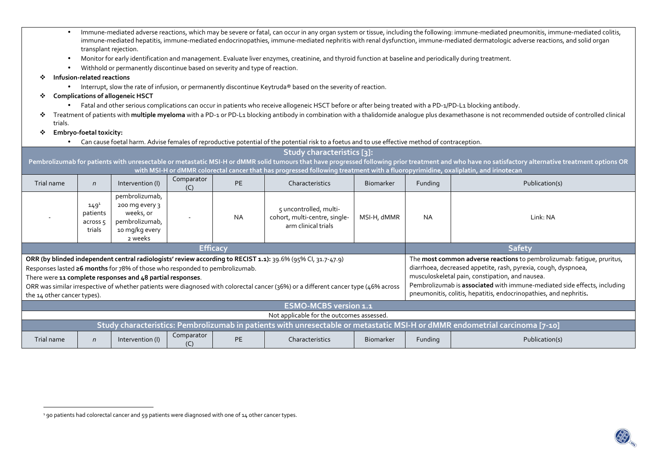| $\bullet$                                                                                                                                                                                                                                                                                                                                                                                                                                                                                                                                                                                                                                                                                                                                                                       | Immune-mediated adverse reactions, which may be severe or fatal, can occur in any organ system or tissue, including the following: immune-mediated pneumonitis, immune-mediated colitis,<br>immune-mediated hepatitis, immune-mediated endocrinopathies, immune-mediated nephritis with renal dysfunction, immune-mediated dermatologic adverse reactions, and solid organ<br>transplant rejection. |                                                                                                           |                   |                                                                                               |                                                                                                                                                            |                  |          |                                                                                                                                                                                                     |  |  |
|---------------------------------------------------------------------------------------------------------------------------------------------------------------------------------------------------------------------------------------------------------------------------------------------------------------------------------------------------------------------------------------------------------------------------------------------------------------------------------------------------------------------------------------------------------------------------------------------------------------------------------------------------------------------------------------------------------------------------------------------------------------------------------|-----------------------------------------------------------------------------------------------------------------------------------------------------------------------------------------------------------------------------------------------------------------------------------------------------------------------------------------------------------------------------------------------------|-----------------------------------------------------------------------------------------------------------|-------------------|-----------------------------------------------------------------------------------------------|------------------------------------------------------------------------------------------------------------------------------------------------------------|------------------|----------|-----------------------------------------------------------------------------------------------------------------------------------------------------------------------------------------------------|--|--|
| $\bullet$                                                                                                                                                                                                                                                                                                                                                                                                                                                                                                                                                                                                                                                                                                                                                                       | Monitor for early identification and management. Evaluate liver enzymes, creatinine, and thyroid function at baseline and periodically during treatment.                                                                                                                                                                                                                                            |                                                                                                           |                   |                                                                                               |                                                                                                                                                            |                  |          |                                                                                                                                                                                                     |  |  |
|                                                                                                                                                                                                                                                                                                                                                                                                                                                                                                                                                                                                                                                                                                                                                                                 |                                                                                                                                                                                                                                                                                                                                                                                                     | Withhold or permanently discontinue based on severity and type of reaction.                               |                   |                                                                                               |                                                                                                                                                            |                  |          |                                                                                                                                                                                                     |  |  |
|                                                                                                                                                                                                                                                                                                                                                                                                                                                                                                                                                                                                                                                                                                                                                                                 | Infusion-related reactions                                                                                                                                                                                                                                                                                                                                                                          |                                                                                                           |                   |                                                                                               |                                                                                                                                                            |                  |          |                                                                                                                                                                                                     |  |  |
| $\bullet$                                                                                                                                                                                                                                                                                                                                                                                                                                                                                                                                                                                                                                                                                                                                                                       | Interrupt, slow the rate of infusion, or permanently discontinue Keytruda® based on the severity of reaction.                                                                                                                                                                                                                                                                                       |                                                                                                           |                   |                                                                                               |                                                                                                                                                            |                  |          |                                                                                                                                                                                                     |  |  |
| ❖                                                                                                                                                                                                                                                                                                                                                                                                                                                                                                                                                                                                                                                                                                                                                                               | <b>Complications of allogeneic HSCT</b>                                                                                                                                                                                                                                                                                                                                                             |                                                                                                           |                   |                                                                                               |                                                                                                                                                            |                  |          |                                                                                                                                                                                                     |  |  |
|                                                                                                                                                                                                                                                                                                                                                                                                                                                                                                                                                                                                                                                                                                                                                                                 |                                                                                                                                                                                                                                                                                                                                                                                                     |                                                                                                           |                   |                                                                                               | Fatal and other serious complications can occur in patients who receive allogeneic HSCT before or after being treated with a PD-1/PD-L1 blocking antibody. |                  |          |                                                                                                                                                                                                     |  |  |
| trials.                                                                                                                                                                                                                                                                                                                                                                                                                                                                                                                                                                                                                                                                                                                                                                         |                                                                                                                                                                                                                                                                                                                                                                                                     |                                                                                                           |                   |                                                                                               |                                                                                                                                                            |                  |          | Treatment of patients with multiple myeloma with a PD-1 or PD-L1 blocking antibody in combination with a thalidomide analogue plus dexamethasone is not recommended outside of controlled clinical  |  |  |
| ❖                                                                                                                                                                                                                                                                                                                                                                                                                                                                                                                                                                                                                                                                                                                                                                               | Embryo-foetal toxicity:                                                                                                                                                                                                                                                                                                                                                                             |                                                                                                           |                   |                                                                                               |                                                                                                                                                            |                  |          |                                                                                                                                                                                                     |  |  |
|                                                                                                                                                                                                                                                                                                                                                                                                                                                                                                                                                                                                                                                                                                                                                                                 |                                                                                                                                                                                                                                                                                                                                                                                                     |                                                                                                           |                   |                                                                                               | Can cause foetal harm. Advise females of reproductive potential of the potential risk to a foetus and to use effective method of contraception.            |                  |          |                                                                                                                                                                                                     |  |  |
|                                                                                                                                                                                                                                                                                                                                                                                                                                                                                                                                                                                                                                                                                                                                                                                 |                                                                                                                                                                                                                                                                                                                                                                                                     |                                                                                                           |                   |                                                                                               | Study characteristics [3]:                                                                                                                                 |                  |          |                                                                                                                                                                                                     |  |  |
|                                                                                                                                                                                                                                                                                                                                                                                                                                                                                                                                                                                                                                                                                                                                                                                 |                                                                                                                                                                                                                                                                                                                                                                                                     |                                                                                                           |                   |                                                                                               |                                                                                                                                                            |                  |          | Pembrolizumab for patients with unresectable or metastatic MSI-H or dMMR solid tumours that have progressed following prior treatment and who have no satisfactory alternative treatment options OR |  |  |
|                                                                                                                                                                                                                                                                                                                                                                                                                                                                                                                                                                                                                                                                                                                                                                                 |                                                                                                                                                                                                                                                                                                                                                                                                     |                                                                                                           |                   |                                                                                               | with MSI-H or dMMR colorectal cancer that has progressed following treatment with a fluoropyrimidine, oxaliplatin, and irinotecan                          |                  |          |                                                                                                                                                                                                     |  |  |
| Trial name                                                                                                                                                                                                                                                                                                                                                                                                                                                                                                                                                                                                                                                                                                                                                                      | $\mathsf{n}$                                                                                                                                                                                                                                                                                                                                                                                        | Intervention (I)                                                                                          | Comparator<br>(C) | <b>PE</b>                                                                                     | Characteristics                                                                                                                                            | <b>Biomarker</b> | Funding  | Publication(s)                                                                                                                                                                                      |  |  |
|                                                                                                                                                                                                                                                                                                                                                                                                                                                                                                                                                                                                                                                                                                                                                                                 | $149^{1}$<br>patients<br>across 5<br>trials                                                                                                                                                                                                                                                                                                                                                         | pembrolizumab,<br>200 mg every 3<br>weeks, or<br><b>NA</b><br>pembrolizumab,<br>10 mg/kg every<br>2 weeks |                   | 5 uncontrolled, multi-<br>cohort, multi-centre, single-<br>MSI-H, dMMR<br>arm clinical trials |                                                                                                                                                            | <b>NA</b>        | Link: NA |                                                                                                                                                                                                     |  |  |
|                                                                                                                                                                                                                                                                                                                                                                                                                                                                                                                                                                                                                                                                                                                                                                                 | <b>Safety</b><br><b>Efficacy</b>                                                                                                                                                                                                                                                                                                                                                                    |                                                                                                           |                   |                                                                                               |                                                                                                                                                            |                  |          |                                                                                                                                                                                                     |  |  |
| ORR (by blinded independent central radiologists' review according to RECIST 1.1): 39.6% (95% Cl, 31.7-47.9)<br>The most common adverse reactions to pembrolizumab: fatique, pruritus,<br>diarrhoea, decreased appetite, rash, pyrexia, cough, dyspnoea,<br>Responses lasted ≥6 months for 78% of those who responded to pembrolizumab.<br>musculoskeletal pain, constipation, and nausea.<br>There were 11 complete responses and 48 partial responses.<br>Pembrolizumab is associated with immune-mediated side effects, including<br>ORR was similar irrespective of whether patients were diagnosed with colorectal cancer (36%) or a different cancer type (46% across<br>pneumonitis, colitis, hepatitis, endocrinopathies, and nephritis.<br>the 14 other cancer types). |                                                                                                                                                                                                                                                                                                                                                                                                     |                                                                                                           |                   |                                                                                               |                                                                                                                                                            |                  |          |                                                                                                                                                                                                     |  |  |
| <b>ESMO-MCBS version 1.1</b>                                                                                                                                                                                                                                                                                                                                                                                                                                                                                                                                                                                                                                                                                                                                                    |                                                                                                                                                                                                                                                                                                                                                                                                     |                                                                                                           |                   |                                                                                               |                                                                                                                                                            |                  |          |                                                                                                                                                                                                     |  |  |
| Not applicable for the outcomes assessed.                                                                                                                                                                                                                                                                                                                                                                                                                                                                                                                                                                                                                                                                                                                                       |                                                                                                                                                                                                                                                                                                                                                                                                     |                                                                                                           |                   |                                                                                               |                                                                                                                                                            |                  |          |                                                                                                                                                                                                     |  |  |
| Study characteristics: Pembrolizumab in patients with unresectable or metastatic MSI-H or dMMR endometrial carcinoma [7-10]                                                                                                                                                                                                                                                                                                                                                                                                                                                                                                                                                                                                                                                     |                                                                                                                                                                                                                                                                                                                                                                                                     |                                                                                                           |                   |                                                                                               |                                                                                                                                                            |                  |          |                                                                                                                                                                                                     |  |  |
| Comparator<br>Trial name<br><b>PE</b><br>Characteristics<br>Publication(s)<br>Intervention (I)<br><b>Biomarker</b><br>Funding<br>$\mathsf{n}$<br>(C)                                                                                                                                                                                                                                                                                                                                                                                                                                                                                                                                                                                                                            |                                                                                                                                                                                                                                                                                                                                                                                                     |                                                                                                           |                   |                                                                                               |                                                                                                                                                            |                  |          |                                                                                                                                                                                                     |  |  |
|                                                                                                                                                                                                                                                                                                                                                                                                                                                                                                                                                                                                                                                                                                                                                                                 |                                                                                                                                                                                                                                                                                                                                                                                                     |                                                                                                           |                   |                                                                                               |                                                                                                                                                            |                  |          |                                                                                                                                                                                                     |  |  |

<sup>&</sup>lt;sup>1</sup> 90 patients had colorectal cancer and 59 patients were diagnosed with one of 14 other cancer types.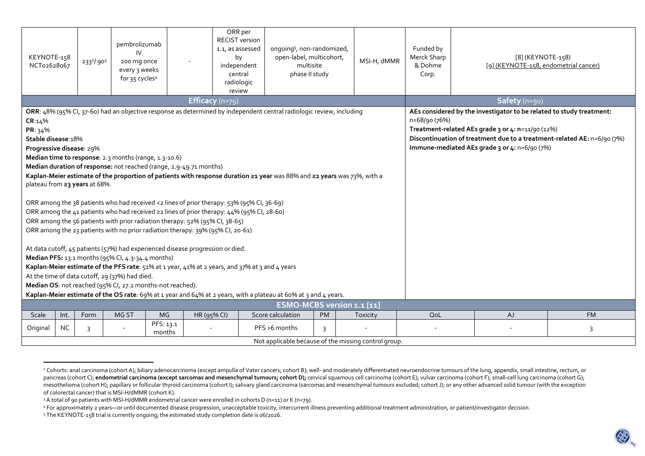| KEYNOTE-158<br>NCT02628067                                                                                                                                                                                                                                                                                                                                                                                                                                                                                                                                                                                                                                                                                                                                                                                                                                                                                                                                                                                                                                                                  |           | 233 <sup>2</sup> /903 | pembrolizumab<br>IV<br>200 mg once<br>every 3 weeks<br>for 35 cycles <sup>4</sup>                           |                     | ORR per<br><b>RECIST version</b><br>1.1, as assessed<br>by<br>independent<br>central<br>radiologic<br>review | ongoing <sup>5</sup> , non-randomized,<br>open-label, multicohort,<br>multisite<br>phase II study |           | MSI-H, dMMR                                                                                                                                                                                                                                                            | Funded by<br>Merck Sharp<br>& Dohme<br>Corp. |               | [8] (KEYNOTE-158)<br>[9] (KEYNOTE-158, endometrial cancer) |           |  |
|---------------------------------------------------------------------------------------------------------------------------------------------------------------------------------------------------------------------------------------------------------------------------------------------------------------------------------------------------------------------------------------------------------------------------------------------------------------------------------------------------------------------------------------------------------------------------------------------------------------------------------------------------------------------------------------------------------------------------------------------------------------------------------------------------------------------------------------------------------------------------------------------------------------------------------------------------------------------------------------------------------------------------------------------------------------------------------------------|-----------|-----------------------|-------------------------------------------------------------------------------------------------------------|---------------------|--------------------------------------------------------------------------------------------------------------|---------------------------------------------------------------------------------------------------|-----------|------------------------------------------------------------------------------------------------------------------------------------------------------------------------------------------------------------------------------------------------------------------------|----------------------------------------------|---------------|------------------------------------------------------------|-----------|--|
| Efficacy (n=79)                                                                                                                                                                                                                                                                                                                                                                                                                                                                                                                                                                                                                                                                                                                                                                                                                                                                                                                                                                                                                                                                             |           |                       |                                                                                                             |                     |                                                                                                              |                                                                                                   |           |                                                                                                                                                                                                                                                                        |                                              | Safety (n=90) |                                                            |           |  |
| ORR: 48% (95% CI, 37-60) had an objective response as determined by independent central radiologic review, including<br>CR:14%<br>PR: 34%<br>Stable disease: 18%<br>Progressive disease: 29%<br>Median time to response: 2.3 months (range, 1.3-10.6)<br>Median duration of response: not reached (range, 2.9-49.71 months)<br>Kaplan-Meier estimate of the proportion of patients with response duration ≥1 year was 88% and ≥2 years was 73%, with a<br>plateau from ≥3 years at 68%.<br>ORR among the 38 patients who had received <2 lines of prior therapy: 53% (95% Cl, 36-69)<br>ORR among the 41 patients who had received ≥2 lines of prior therapy: 44% (95% CI, 28-60)<br>ORR among the 56 patients with prior radiation therapy: 52% (95% Cl, 38-65)<br>ORR among the 23 patients with no prior radiation therapy: 39% (95% Cl, 20-61)<br>At data cutoff, 45 patients (57%) had experienced disease progression or died.<br>Median PFS: 13.1 months (95% CI, 4.3-34.4 months)<br>Kaplan-Meier estimate of the PFS rate: 51% at 1 year, 41% at 2 years, and 37% at 3 and 4 years |           |                       |                                                                                                             |                     |                                                                                                              |                                                                                                   |           | AEs considered by the investigator to be related to study treatment:<br>n=68/90 (76%)<br>Treatment-related AEs grade 3 or 4: n=11/90 (12%)<br>Discontinuation of treatment due to a treatment-related AE: n=6/90 (7%)<br>Immune-mediated AEs grade 3 or 4: n=6/90 (7%) |                                              |               |                                                            |           |  |
|                                                                                                                                                                                                                                                                                                                                                                                                                                                                                                                                                                                                                                                                                                                                                                                                                                                                                                                                                                                                                                                                                             |           |                       | At the time of data cutoff, 29 (37%) had died.<br>Median OS: not reached (95% CI, 27.2 months-not reached). |                     |                                                                                                              |                                                                                                   |           |                                                                                                                                                                                                                                                                        |                                              |               |                                                            |           |  |
| Kaplan-Meier estimate of the OS rate: 69% at 1 year and 64% at 2 years, with a plateau at 60% at 3 and 4 years.                                                                                                                                                                                                                                                                                                                                                                                                                                                                                                                                                                                                                                                                                                                                                                                                                                                                                                                                                                             |           |                       |                                                                                                             |                     |                                                                                                              |                                                                                                   |           |                                                                                                                                                                                                                                                                        |                                              |               |                                                            |           |  |
| ESMO-MCBS version 1.1 [11]                                                                                                                                                                                                                                                                                                                                                                                                                                                                                                                                                                                                                                                                                                                                                                                                                                                                                                                                                                                                                                                                  |           |                       |                                                                                                             |                     |                                                                                                              |                                                                                                   |           |                                                                                                                                                                                                                                                                        |                                              |               |                                                            |           |  |
| Scale                                                                                                                                                                                                                                                                                                                                                                                                                                                                                                                                                                                                                                                                                                                                                                                                                                                                                                                                                                                                                                                                                       | Int.      | Form                  | MG ST                                                                                                       | MG<br>HR (95% CI)   |                                                                                                              | Score calculation                                                                                 | <b>PM</b> | Toxicity                                                                                                                                                                                                                                                               | QoL                                          |               | <b>AJ</b>                                                  | <b>FM</b> |  |
| Original                                                                                                                                                                                                                                                                                                                                                                                                                                                                                                                                                                                                                                                                                                                                                                                                                                                                                                                                                                                                                                                                                    | <b>NC</b> | 3                     |                                                                                                             | PFS: 13.1<br>months |                                                                                                              | PFS >6 months                                                                                     | 3         |                                                                                                                                                                                                                                                                        |                                              |               |                                                            | 3         |  |
| Not applicable because of the missing control group.                                                                                                                                                                                                                                                                                                                                                                                                                                                                                                                                                                                                                                                                                                                                                                                                                                                                                                                                                                                                                                        |           |                       |                                                                                                             |                     |                                                                                                              |                                                                                                   |           |                                                                                                                                                                                                                                                                        |                                              |               |                                                            |           |  |

<sup>&</sup>lt;sup>2</sup> Cohorts: anal carcinoma (cohort A); biliary adenocarcinoma (except ampulla of Vater cancers; cohort B); well- and moderately differentiated neuroendocrine tumours of the lung, appendix, small intestine, rectum, or pancreas (cohort C); endometrial carcinoma (except sarcomas and mesenchymal tumours; cohort D); cervical squamous cell carcinoma (cohort E); vulvar carcinoma (cohort F); small-cell lung carcinoma (cohort G); cervical squam mesothelioma (cohort H); papillary or follicular thyroid carcinoma (cohort I); salivary gland carcinoma (sarcomas and mesenchymal tumours excluded; cohort J); or any other advanced solid tumour (with the exception of colorectal cancer) that is MSI-H/dMMR (cohort K).

<sup>3</sup> A total of 90 patients with MSI-H/dMMR endometrial cancer were enrolled in cohorts D (n=11) or K (n=79).

<sup>4</sup> For approximately 2 years—or until documented disease progression, unacceptable toxicity, intercurrent illness preventing additional treatment administration, or patient/investigator decision.

<sup>5</sup> The KEYNOTE-158 trial is currently ongoing; the estimated study completion date is 06/2026.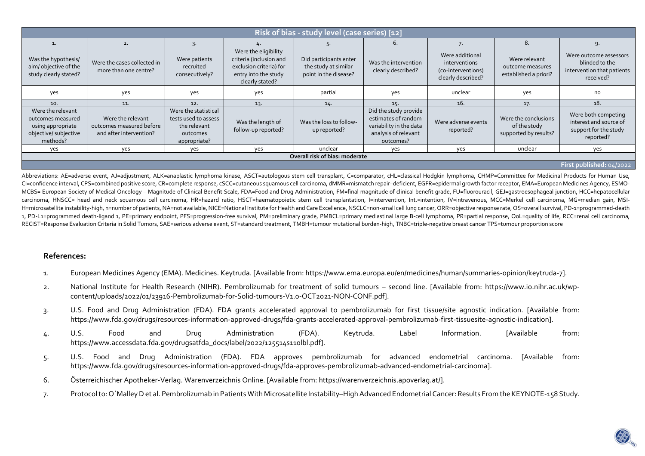| Risk of bias - study level (case series) [12]                                                    |                                                                          |                                                                                          |                                                                                                                       |                                                                         |                                                                                                              |                                                                              |                                                               |                                                                                     |  |
|--------------------------------------------------------------------------------------------------|--------------------------------------------------------------------------|------------------------------------------------------------------------------------------|-----------------------------------------------------------------------------------------------------------------------|-------------------------------------------------------------------------|--------------------------------------------------------------------------------------------------------------|------------------------------------------------------------------------------|---------------------------------------------------------------|-------------------------------------------------------------------------------------|--|
|                                                                                                  | 2.                                                                       |                                                                                          |                                                                                                                       |                                                                         | 6.                                                                                                           |                                                                              | 8                                                             |                                                                                     |  |
| Was the hypothesis/<br>aim/objective of the<br>study clearly stated?                             | Were the cases collected in<br>more than one centre?                     | Were patients<br>recruited<br>consecutively?                                             | Were the eligibility<br>criteria (inclusion and<br>exclusion criteria) for<br>entry into the study<br>clearly stated? | Did participants enter<br>the study at similar<br>point in the disease? | Was the intervention<br>clearly described?                                                                   | Were additional<br>interventions<br>(co-interventions)<br>clearly described? | Were relevant<br>outcome measures<br>established a priori?    | Were outcome assessors<br>blinded to the<br>intervention that patients<br>received? |  |
| yes                                                                                              | yes                                                                      | yes                                                                                      | yes                                                                                                                   | partial                                                                 | yes                                                                                                          | unclear                                                                      | yes                                                           | no                                                                                  |  |
| 10.                                                                                              | 11.                                                                      | 12.                                                                                      | 13.                                                                                                                   | 14.                                                                     | 15.                                                                                                          | 16.                                                                          | 17.                                                           | 18.                                                                                 |  |
| Were the relevant<br>outcomes measured<br>using appropriate<br>objective/ subjective<br>methods? | Were the relevant<br>outcomes measured before<br>and after intervention? | Were the statistical<br>tests used to assess<br>the relevant<br>outcomes<br>appropriate? | Was the length of<br>follow-up reported?                                                                              | Was the loss to follow-<br>up reported?                                 | Did the study provide<br>estimates of random<br>variability in the data<br>analysis of relevant<br>outcomes? | Were adverse events<br>reported?                                             | Were the conclusions<br>of the study<br>supported by results? | Were both competing<br>interest and source of<br>support for the study<br>reported? |  |
| yes                                                                                              | yes                                                                      | ves                                                                                      | yes                                                                                                                   | unclear                                                                 | ves                                                                                                          | yes                                                                          | unclear                                                       | yes                                                                                 |  |
| Overall risk of bias: moderate                                                                   |                                                                          |                                                                                          |                                                                                                                       |                                                                         |                                                                                                              |                                                                              |                                                               |                                                                                     |  |
|                                                                                                  |                                                                          |                                                                                          |                                                                                                                       |                                                                         |                                                                                                              |                                                                              |                                                               | First published: 04/2022                                                            |  |

Abbreviations: AE=adverse event, AJ=adjustment, ALK=anaplastic lymphoma kinase, ASCT=autologous stem cell transplant, C=comparator, cHL=classical Hodgkin lymphoma, CHMP=Committee for Medicinal Products for Human Use, CI=confidence interval, CPS=combined positive score, CR=complete response, cSCC=cutaneous squamous cell carcinoma, dMMR=mismatch repair–deficient, EGFR=epidermal growth factor receptor, EMA=European Medicines Agency, ESMO-MCBS= European Society of Medical Oncology - Magnitude of Clinical Benefit Scale, FDA=Food and Drug Administration, FM=final magnitude of clinical benefit grade, FU=fluorouracil, GEJ=qastroesophageal junction, HCC=hepatoce carcinoma, HNSCC= head and neck squamous cell carcinoma, HR=hazard ratio, HSCT=haematopoietic stem cell transplantation, I=intervention, Int.=intention, IV=intravenous, MCC=Merkel cell carcinoma, MG=median gain, MSI-H=microsatellite instability-high, n=number of patients, NA=not available, NICE=National Institute for Health and Care Excellence, NSCLC=non-small cell lung cancer, ORR=objective response rate, OS=overall survival, PD-1=pr 1, PD-L1=programmed death-ligand 1, PE=primary endpoint, PFS=progression-free survival, PM=preliminary grade, PMBCL=primary mediastinal large B-cell lymphoma, PR=partial response, QoL=quality of life, RCC=renal cell carcin RECIST=Response Evaluation Criteria in Solid Tumors, SAE=serious adverse event, ST=standard treatment, TMBH=tumour mutational burden-high, TNBC=triple-negative breast cancer TPS=tumour proportion score

## **References:**

- 1. European Medicines Agency (EMA). Medicines. Keytruda. [Available from: https://www.ema.europa.eu/en/medicines/human/summaries-opinion/keytruda-7].
- 2. National Institute for Health Research (NIHR). Pembrolizumab for treatment of solid tumours second line. [Available from: https://www.io.nihr.ac.uk/wpcontent/uploads/2022/01/23916-Pembrolizumab-for-Solid-tumours-V1.0-OCT2021-NON-CONF.pdf].
- 3. U.S. Food and Drug Administration (FDA). FDA grants accelerated approval to pembrolizumab for first tissue/site agnostic indication. [Available from: https://www.fda.gov/drugs/resources-information-approved-drugs/fda-grants-accelerated-approval-pembrolizumab-first-tissuesite-agnostic-indication].
- 4. U.S. Food and Drug Administration (FDA). Keytruda. Label Information. [Available from: https://www.accessdata.fda.gov/drugsatfda\_docs/label/2022/125514s110lbl.pdf].
- 5. U.S. Food and Drug Administration (FDA). FDA approves pembrolizumab for advanced endometrial carcinoma. [Available from: https://www.fda.gov/drugs/resources-information-approved-drugs/fda-approves-pembrolizumab-advanced-endometrial-carcinoma].
- 6. Österreichischer Apotheker-Verlag. Warenverzeichnis Online. [Available from: https://warenverzeichnis.apoverlag.at/].
- 7. Protocol to: O´Malley D et al. Pembrolizumab in Patients With Microsatellite Instability–High Advanced Endometrial Cancer: Results From the KEYNOTE-158 Study.